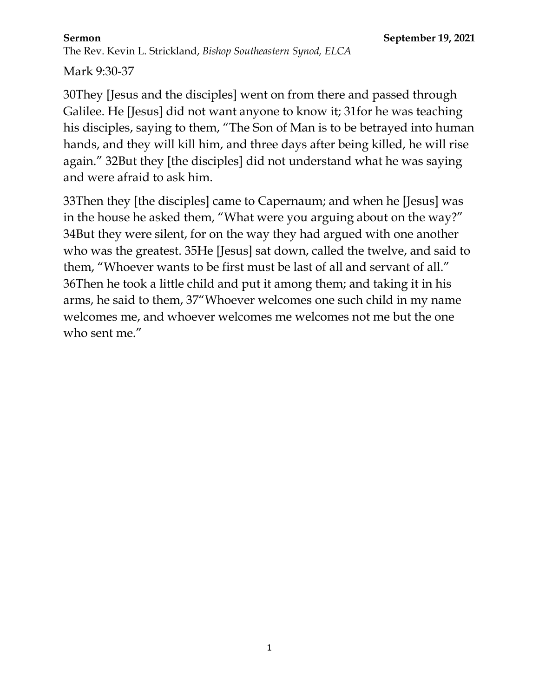Mark 9:30-37

30They [Jesus and the disciples] went on from there and passed through Galilee. He [Jesus] did not want anyone to know it; 31for he was teaching his disciples, saying to them, "The Son of Man is to be betrayed into human hands, and they will kill him, and three days after being killed, he will rise again." 32But they [the disciples] did not understand what he was saying and were afraid to ask him.

33Then they [the disciples] came to Capernaum; and when he [Jesus] was in the house he asked them, "What were you arguing about on the way?" 34But they were silent, for on the way they had argued with one another who was the greatest. 35He [Jesus] sat down, called the twelve, and said to them, "Whoever wants to be first must be last of all and servant of all." 36Then he took a little child and put it among them; and taking it in his arms, he said to them, 37"Whoever welcomes one such child in my name welcomes me, and whoever welcomes me welcomes not me but the one who sent me."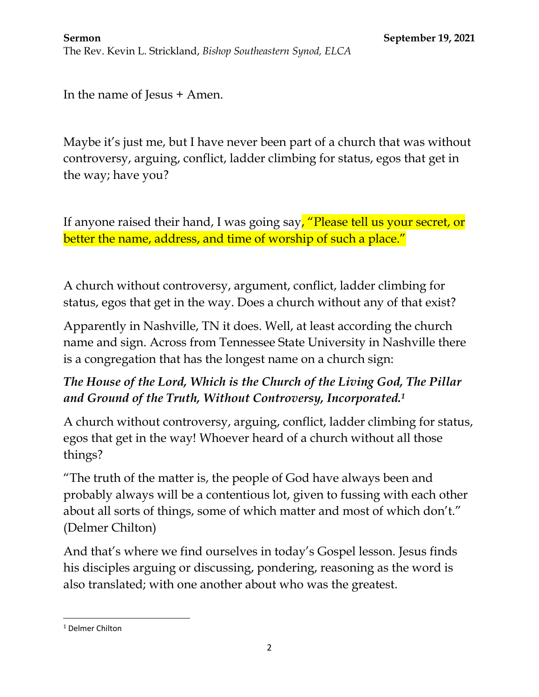In the name of Jesus + Amen.

Maybe it's just me, but I have never been part of a church that was without controversy, arguing, conflict, ladder climbing for status, egos that get in the way; have you?

If anyone raised their hand, I was going say, "Please tell us your secret, or better the name, address, and time of worship of such a place."

A church without controversy, argument, conflict, ladder climbing for status, egos that get in the way. Does a church without any of that exist?

Apparently in Nashville, TN it does. Well, at least according the church name and sign. Across from Tennessee State University in Nashville there is a congregation that has the longest name on a church sign:

# *The House of the Lord, Which is the Church of the Living God, The Pillar and Ground of the Truth, Without Controversy, Incorporated.<sup>1</sup>*

A church without controversy, arguing, conflict, ladder climbing for status, egos that get in the way! Whoever heard of a church without all those things?

"The truth of the matter is, the people of God have always been and probably always will be a contentious lot, given to fussing with each other about all sorts of things, some of which matter and most of which don't." (Delmer Chilton)

And that's where we find ourselves in today's Gospel lesson. Jesus finds his disciples arguing or discussing, pondering, reasoning as the word is also translated; with one another about who was the greatest.

 $\overline{\phantom{a}}$ <sup>1</sup> Delmer Chilton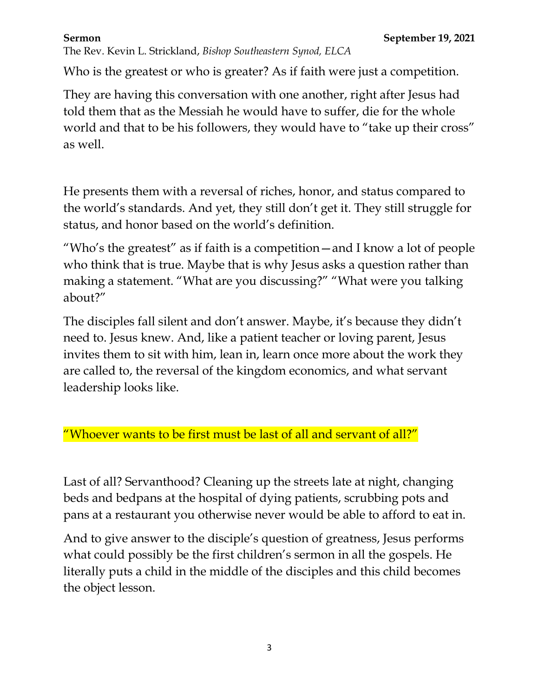The Rev. Kevin L. Strickland, *Bishop Southeastern Synod, ELCA*

Who is the greatest or who is greater? As if faith were just a competition.

They are having this conversation with one another, right after Jesus had told them that as the Messiah he would have to suffer, die for the whole world and that to be his followers, they would have to "take up their cross" as well.

He presents them with a reversal of riches, honor, and status compared to the world's standards. And yet, they still don't get it. They still struggle for status, and honor based on the world's definition.

"Who's the greatest" as if faith is a competition—and I know a lot of people who think that is true. Maybe that is why Jesus asks a question rather than making a statement. "What are you discussing?" "What were you talking about?"

The disciples fall silent and don't answer. Maybe, it's because they didn't need to. Jesus knew. And, like a patient teacher or loving parent, Jesus invites them to sit with him, lean in, learn once more about the work they are called to, the reversal of the kingdom economics, and what servant leadership looks like.

# "Whoever wants to be first must be last of all and servant of all?"

Last of all? Servanthood? Cleaning up the streets late at night, changing beds and bedpans at the hospital of dying patients, scrubbing pots and pans at a restaurant you otherwise never would be able to afford to eat in.

And to give answer to the disciple's question of greatness, Jesus performs what could possibly be the first children's sermon in all the gospels. He literally puts a child in the middle of the disciples and this child becomes the object lesson.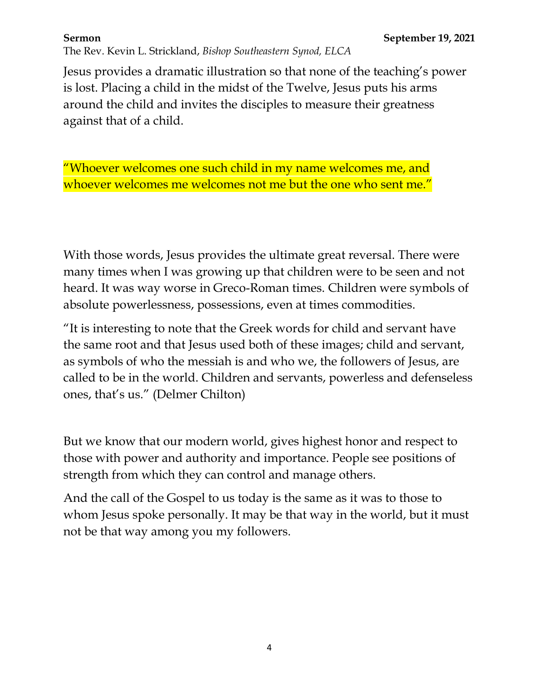"It is interesting to note that the Greek words for child and servant have the same root and that Jesus used both of these images; child and servant, as symbols of who the messiah is and who we, the followers of Jesus, are called to be in the world. Children and servants, powerless and defenseless ones, that's us." (Delmer Chilton)

With those words, Jesus provides the ultimate great reversal. There were many times when I was growing up that children were to be seen and not heard. It was way worse in Greco-Roman times. Children were symbols of

absolute powerlessness, possessions, even at times commodities.

**Sermon September 19, 2021** The Rev. Kevin L. Strickland, *Bishop Southeastern Synod, ELCA*

Jesus provides a dramatic illustration so that none of the teaching's power is lost. Placing a child in the midst of the Twelve, Jesus puts his arms around the child and invites the disciples to measure their greatness against that of a child.

"Whoever welcomes one such child in my name welcomes me, and whoever welcomes me welcomes not me but the one who sent me."

But we know that our modern world, gives highest honor and respect to those with power and authority and importance. People see positions of strength from which they can control and manage others.

And the call of the Gospel to us today is the same as it was to those to whom Jesus spoke personally. It may be that way in the world, but it must not be that way among you my followers.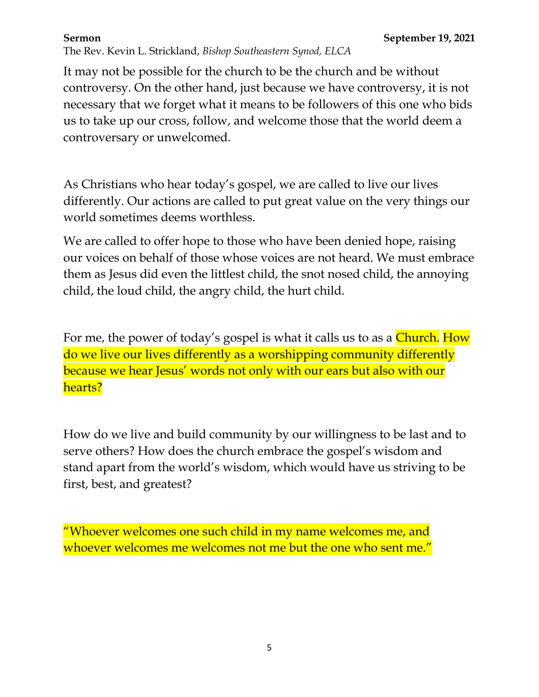The Rev. Kevin L. Strickland, *Bishop Southeastern Synod, ELCA*

It may not be possible for the church to be the church and be without controversy. On the other hand, just because we have controversy, it is not necessary that we forget what it means to be followers of this one who bids us to take up our cross, follow, and welcome those that the world deem a controversary or unwelcomed.

As Christians who hear today's gospel, we are called to live our lives differently. Our actions are called to put great value on the very things our world sometimes deems worthless.

We are called to offer hope to those who have been denied hope, raising our voices on behalf of those whose voices are not heard. We must embrace them as Jesus did even the littlest child, the snot nosed child, the annoying child, the loud child, the angry child, the hurt child.

For me, the power of today's gospel is what it calls us to as a **Church.** How do we live our lives differently as a worshipping community differently because we hear Jesus' words not only with our ears but also with our hearts?

How do we live and build community by our willingness to be last and to serve others? How does the church embrace the gospel's wisdom and stand apart from the world's wisdom, which would have us striving to be first, best, and greatest?

"Whoever welcomes one such child in my name welcomes me, and whoever welcomes me welcomes not me but the one who sent me."